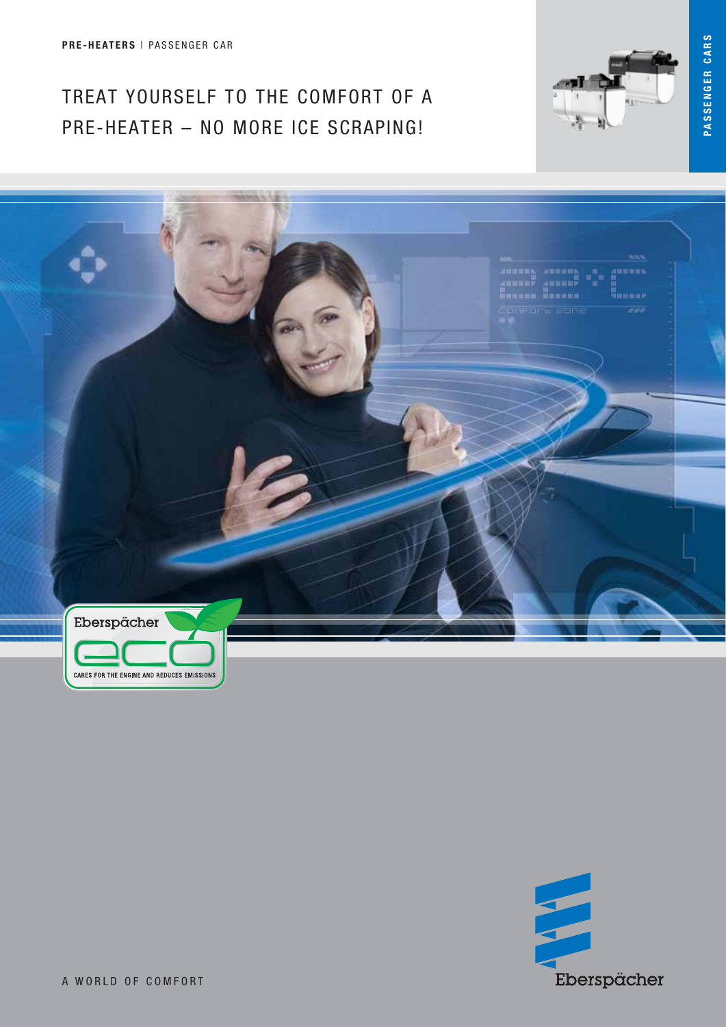# Treat yourself to the COMFORT of a pre-heater – NO MORE ICE SCRAPING!



Passenger cars

PASSENGER CARS

u vi in na mar inana Eberspächer



CARES FOR THE ENGINE AND REDUCES EMISSIONS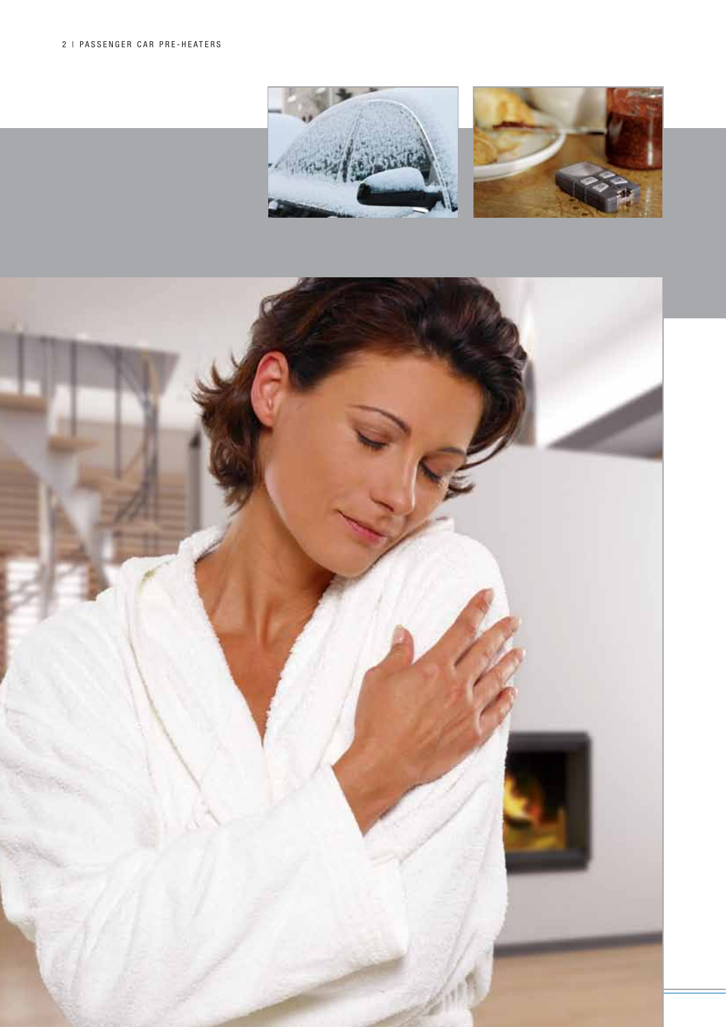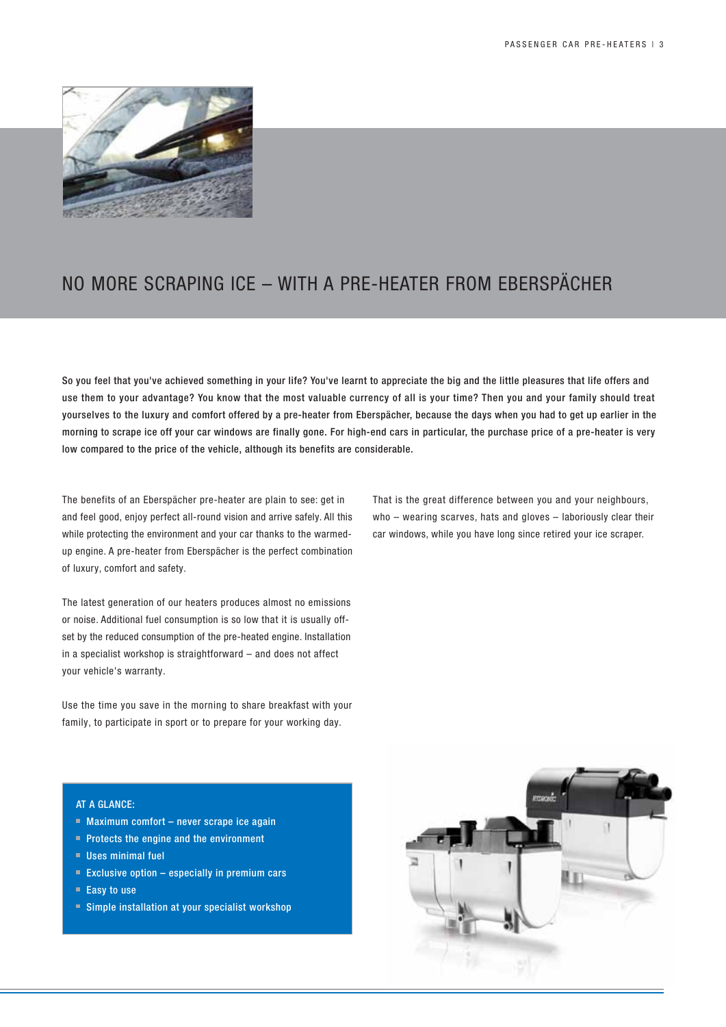

### No more scraping ice – with a pre-heater from Eberspächer

So you feel that you've achieved something in your life? You've learnt to appreciate the big and the little pleasures that life offers and use them to your advantage? You know that the most valuable currency of all is your time? Then you and your family should treat yourselves to the luxury and comfort offered by a pre-heater from Eberspächer, because the days when you had to get up earlier in the morning to scrape ice off your car windows are finally gone. For high-end cars in particular, the purchase price of a pre-heater is very low compared to the price of the vehicle, although its benefits are considerable.

The benefits of an Eberspächer pre-heater are plain to see: get in and feel good, enjoy perfect all-round vision and arrive safely. All this while protecting the environment and your car thanks to the warmedup engine. A pre-heater from Eberspächer is the perfect combination of luxury, comfort and safety.

The latest generation of our heaters produces almost no emissions or noise. Additional fuel consumption is so low that it is usually offset by the reduced consumption of the pre-heated engine. Installation in a specialist workshop is straightforward – and does not affect your vehicle's warranty.

Use the time you save in the morning to share breakfast with your family, to participate in sport or to prepare for your working day.

That is the great difference between you and your neighbours, who – wearing scarves, hats and gloves – laboriously clear their car windows, while you have long since retired your ice scraper.

#### AT A GLANCE:

- $\blacksquare$  Maximum comfort never scrape ice again
- $\blacksquare$  Protects the engine and the environment
- **Uses minimal fuel**
- Exclusive option  $-$  especially in premium cars
- $E$  Easy to use
- Simple installation at your specialist workshop

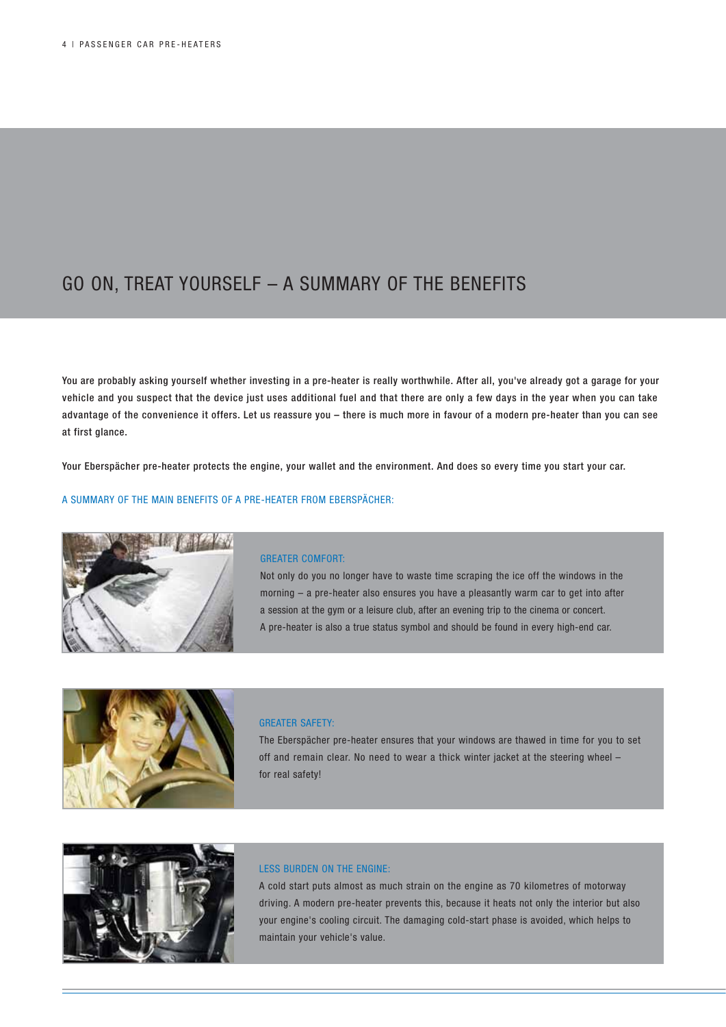## GO ON, TREAT YOURSELF – A SUMMARY OF THE BENEFITS

You are probably asking yourself whether investing in a pre-heater is really worthwhile. After all, you've already got a garage for your vehicle and you suspect that the device just uses additional fuel and that there are only a few days in the year when you can take advantage of the convenience it offers. Let us reassure you – there is much more in favour of a modern pre-heater than you can see at first glance.

Your Eberspächer pre-heater protects the engine, your wallet and the environment. And does so every time you start your car.

A SUMMARY OF THE MAIN BENEFITS OF A PRE-HEATER FROM EBERSPÄCHER:



### GREATER COMFORT:

Not only do you no longer have to waste time scraping the ice off the windows in the morning – a pre-heater also ensures you have a pleasantly warm car to get into after a session at the gym or a leisure club, after an evening trip to the cinema or concert. A pre-heater is also a true status symbol and should be found in every high-end car.



#### GREATER SAFETY:

The Eberspächer pre-heater ensures that your windows are thawed in time for you to set off and remain clear. No need to wear a thick winter jacket at the steering wheel – for real safety!



#### Less burden on the engine:

A cold start puts almost as much strain on the engine as 70 kilometres of motorway driving. A modern pre-heater prevents this, because it heats not only the interior but also your engine's cooling circuit. The damaging cold-start phase is avoided, which helps to maintain your vehicle's value.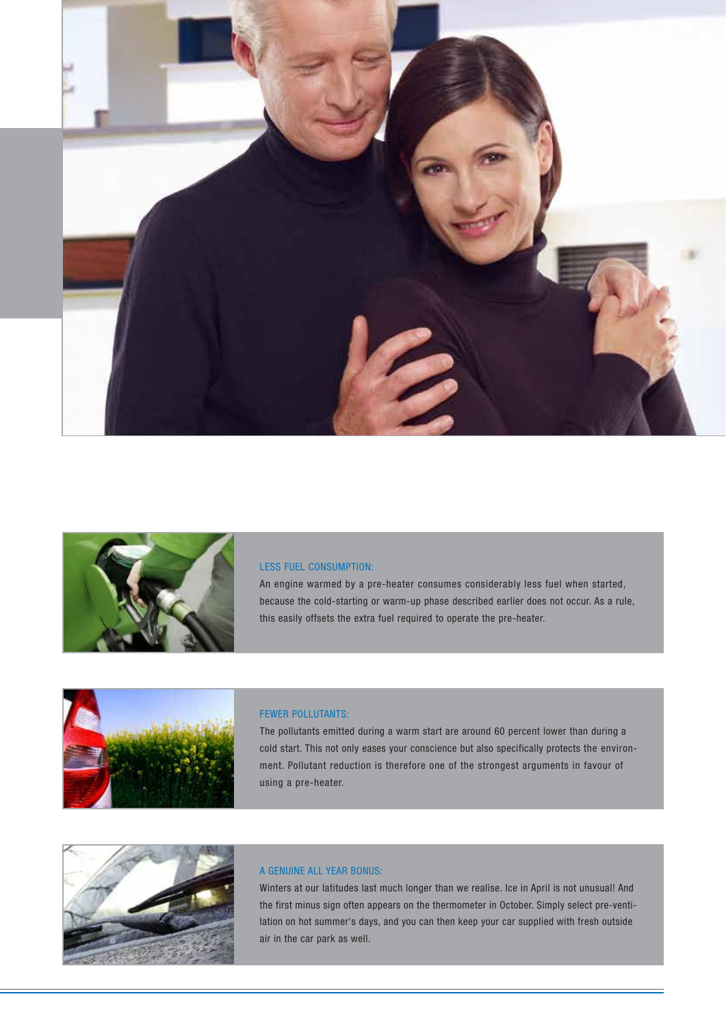



### Less fuel consumption:

An engine warmed by a pre-heater consumes considerably less fuel when started, because the cold-starting or warm-up phase described earlier does not occur. As a rule, this easily offsets the extra fuel required to operate the pre-heater.



### FEWER POLLUTANTS:

The pollutants emitted during a warm start are around 60 percent lower than during a cold start. This not only eases your conscience but also specifically protects the environment. Pollutant reduction is therefore one of the strongest arguments in favour of using a pre-heater.



### A genuine All year bonus:

Winters at our latitudes last much longer than we realise. Ice in April is not unusual! And the first minus sign often appears on the thermometer in October. Simply select pre-ventilation on hot summer's days, and you can then keep your car supplied with fresh outside air in the car park as well.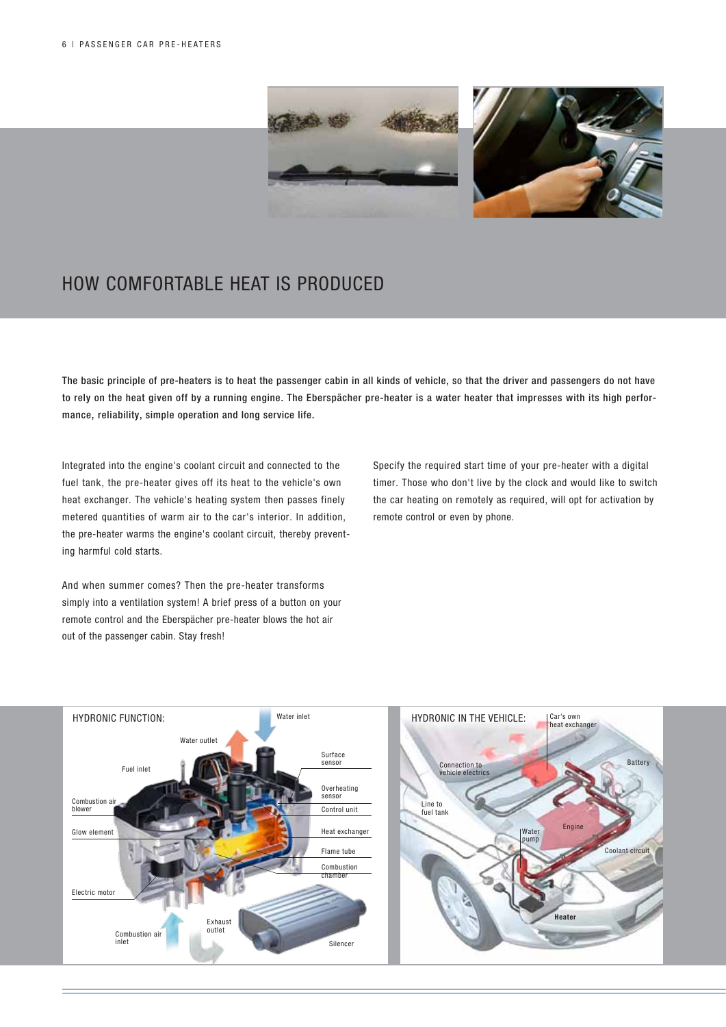

### How comfortable heat is produced

The basic principle of pre-heaters is to heat the passenger cabin in all kinds of vehicle, so that the driver and passengers do not have to rely on the heat given off by a running engine. The Eberspächer pre-heater is a water heater that impresses with its high performance, reliability, simple operation and long service life.

Integrated into the engine's coolant circuit and connected to the fuel tank, the pre-heater gives off its heat to the vehicle's own heat exchanger. The vehicle's heating system then passes finely metered quantities of warm air to the car's interior. In addition, the pre-heater warms the engine's coolant circuit, thereby preventing harmful cold starts.

Specify the required start time of your pre-heater with a digital timer. Those who don't live by the clock and would like to switch the car heating on remotely as required, will opt for activation by remote control or even by phone.

And when summer comes? Then the pre-heater transforms simply into a ventilation system! A brief press of a button on your remote control and the Eberspächer pre-heater blows the hot air out of the passenger cabin. Stay fresh!

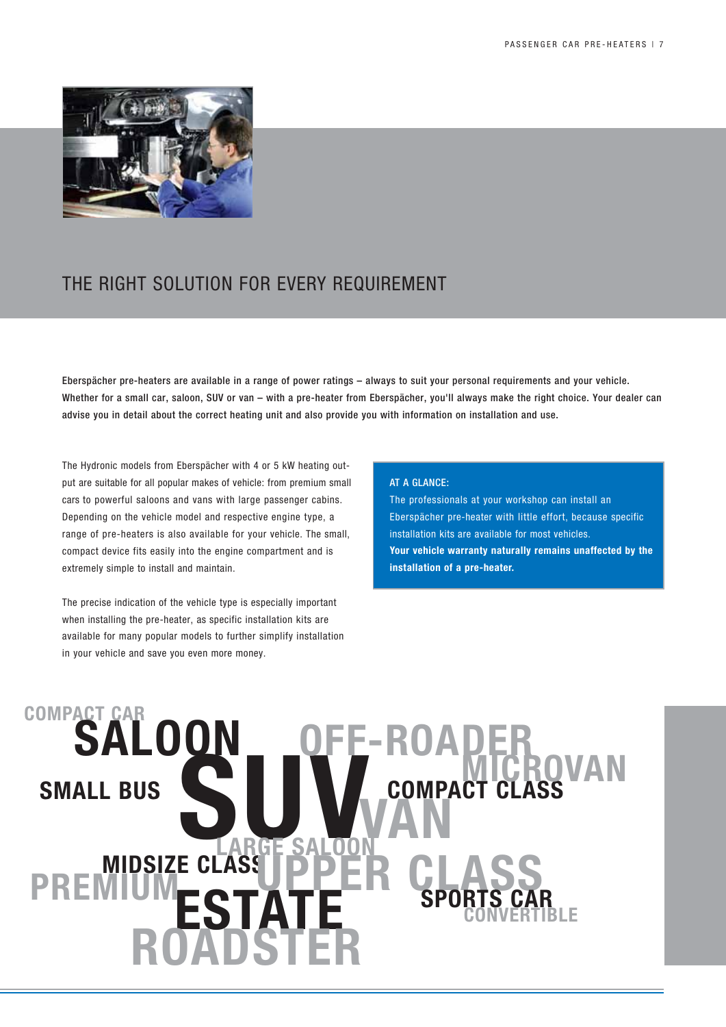

### THE RIGHT SOLUTION FOR EVERY REQUIREMENT

Eberspächer pre-heaters are available in a range of power ratings – always to suit your personal requirements and your vehicle. Whether for a small car, saloon, SUV or van – with a pre-heater from Eberspächer, you'll always make the right choice. Your dealer can advise you in detail about the correct heating unit and also provide you with information on installation and use.

The Hydronic models from Eberspächer with 4 or 5 kW heating output are suitable for all popular makes of vehicle: from premium small cars to powerful saloons and vans with large passenger cabins. Depending on the vehicle model and respective engine type, a range of pre-heaters is also available for your vehicle. The small, compact device fits easily into the engine compartment and is extremely simple to install and maintain.

The precise indication of the vehicle type is especially important when installing the pre-heater, as specific installation kits are available for many popular models to further simplify installation in your vehicle and save you even more money.

### AT A GLANCE:

The professionals at your workshop can install an Eberspächer pre-heater with little effort, because specific installation kits are available for most vehicles. Your vehicle warranty naturally remains unaffected by the installation of a pre-heater.

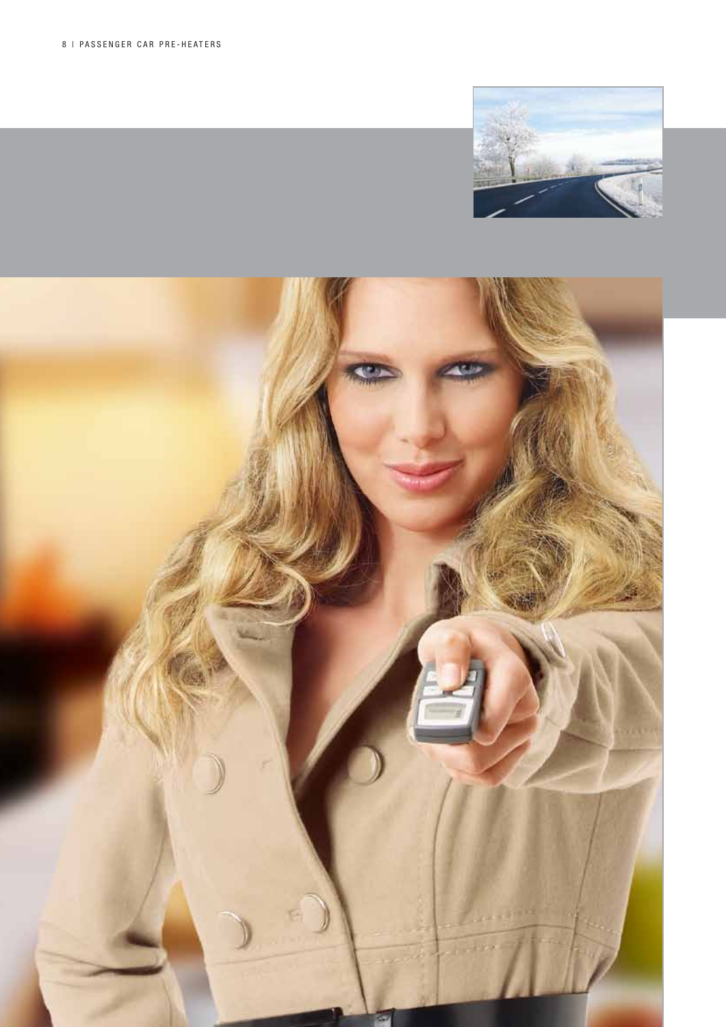

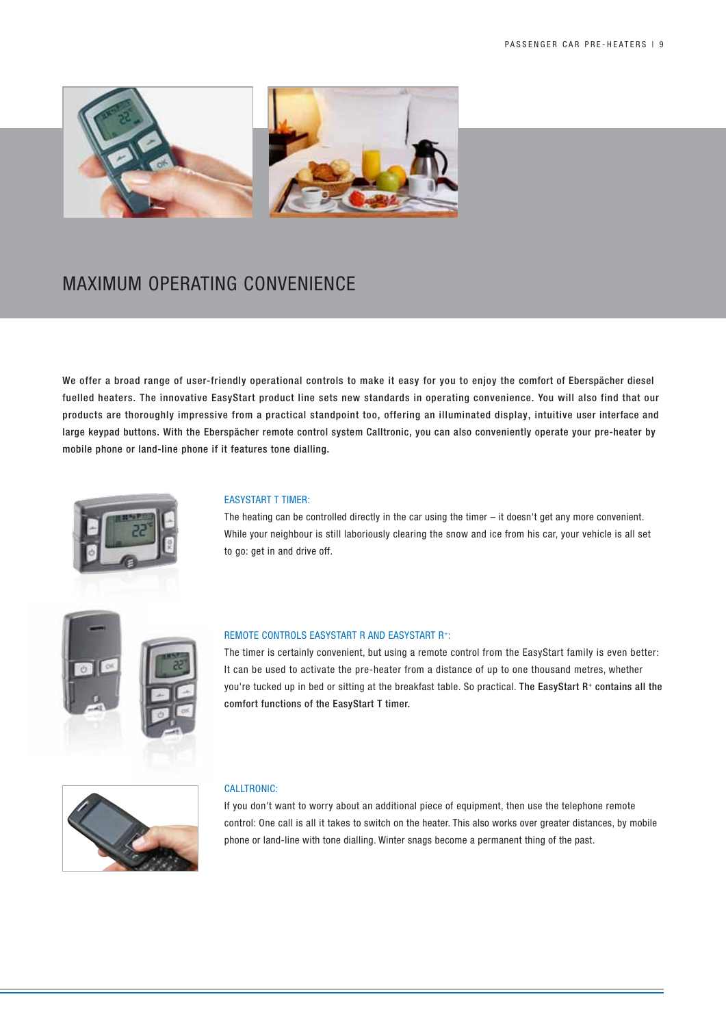

### MAXIMUM operating convenience

We offer a broad range of user-friendly operational controls to make it easy for you to enjoy the comfort of Eberspächer diesel fuelled heaters. The innovative EasyStart product line sets new standards in operating convenience. You will also find that our products are thoroughly impressive from a practical standpoint too, offering an illuminated display, intuitive user interface and large keypad buttons. With the Eberspächer remote control system Calltronic, you can also conveniently operate your pre-heater by mobile phone or land-line phone if it features tone dialling.



### **EASYSTART T TIMER:**

The heating can be controlled directly in the car using the timer – it doesn't get any more convenient. While your neighbour is still laboriously clearing the snow and ice from his car, your vehicle is all set to go: get in and drive off.



### Remote controls EasyStart R and EasyStart R+:

The timer is certainly convenient, but using a remote control from the EasyStart family is even better: It can be used to activate the pre-heater from a distance of up to one thousand metres, whether you're tucked up in bed or sitting at the breakfast table. So practical. The EasyStart R+ contains all the comfort functions of the EasyStart T timer.



#### calltronic:

If you don't want to worry about an additional piece of equipment, then use the telephone remote control: One call is all it takes to switch on the heater. This also works over greater distances, by mobile phone or land-line with tone dialling. Winter snags become a permanent thing of the past.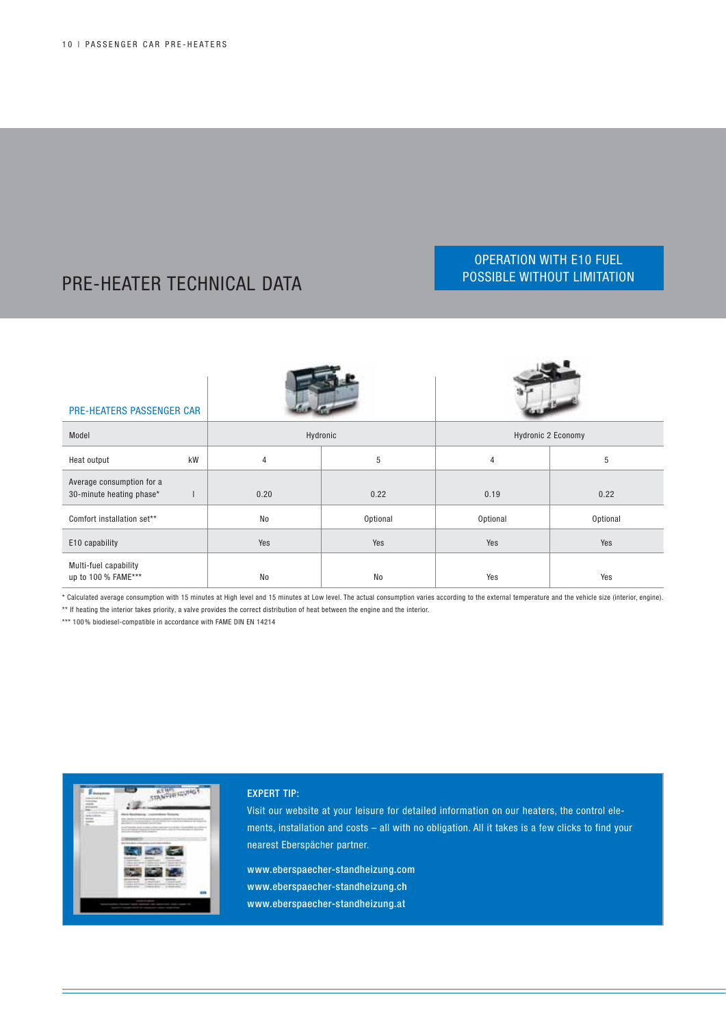### pre-heater technical data

### Operation with E10 fuel possible without limitation

| <b>PRE-HEATERS PASSENGER CAR</b>                      |    |                |                |                           |          |
|-------------------------------------------------------|----|----------------|----------------|---------------------------|----------|
| Model                                                 |    | Hydronic       |                | <b>Hydronic 2 Economy</b> |          |
| Heat output                                           | kW | $\overline{4}$ | 5              | $\overline{4}$            | 5        |
| Average consumption for a<br>30-minute heating phase* |    | 0.20           | 0.22           | 0.19                      | 0.22     |
| Comfort installation set**                            |    | No             | Optional       | Optional                  | Optional |
| E10 capability                                        |    | Yes            | Yes            | Yes                       | Yes      |
| Multi-fuel capability<br>up to 100 % FAME***          |    | No             | N <sub>0</sub> | Yes                       | Yes      |

\* Calculated average consumption with 15 minutes at High level and 15 minutes at Low level. The actual consumption varies according to the external temperature and the vehicle size (interior, engine). \*\* If heating the interior takes priority, a valve provides the correct distribution of heat between the engine and the interior.

\*\*\* 100% biodiesel-compatible in accordance with FAME DIN EN 14214



### EXPERT TIP:

Visit our website at your leisure for detailed information on our heaters, the control elements, installation and costs – all with no obligation. All it takes is a few clicks to find your nearest Eberspächer partner.

www.eberspaecher-standheizung.com www.eberspaecher-standheizung.ch www.eberspaecher-standheizung.at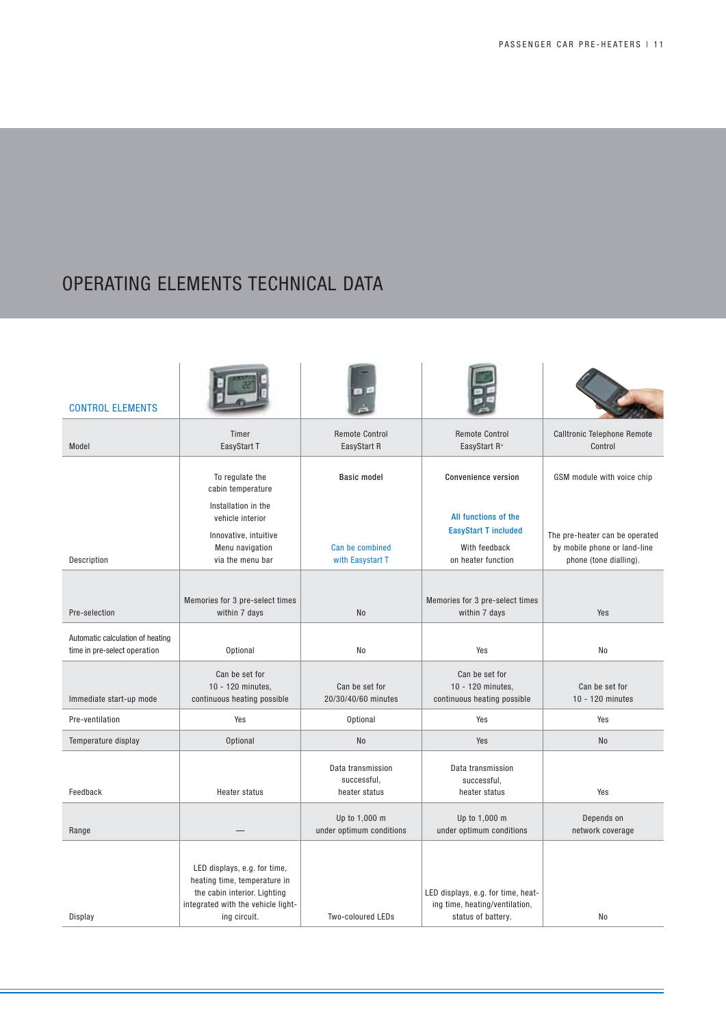# OPERATING ELEMENTS technical data

| <b>CONTROL ELEMENTS</b>                                          |                                                                                                                                                    |                                                   |                                                                                            |                                                                                          |
|------------------------------------------------------------------|----------------------------------------------------------------------------------------------------------------------------------------------------|---------------------------------------------------|--------------------------------------------------------------------------------------------|------------------------------------------------------------------------------------------|
| Model                                                            | Timer<br>EasyStart T                                                                                                                               | <b>Remote Control</b><br>EasyStart R              | <b>Remote Control</b><br>EasyStart R+                                                      | <b>Calltronic Telephone Remote</b><br>Control                                            |
|                                                                  | To regulate the<br>cabin temperature                                                                                                               | <b>Basic model</b>                                | <b>Convenience version</b>                                                                 | GSM module with voice chip                                                               |
| Description                                                      | Installation in the<br>vehicle interior<br>Innovative, intuitive<br>Menu navigation<br>via the menu bar                                            | Can be combined<br>with Easystart T               | All functions of the<br><b>EasyStart T included</b><br>With feedback<br>on heater function | The pre-heater can be operated<br>by mobile phone or land-line<br>phone (tone dialling). |
| Pre-selection                                                    | Memories for 3 pre-select times<br>within 7 days                                                                                                   | <b>No</b>                                         | Memories for 3 pre-select times<br>within 7 days                                           | Yes                                                                                      |
| Automatic calculation of heating<br>time in pre-select operation | <b>Optional</b>                                                                                                                                    | <b>No</b>                                         | Yes                                                                                        | No                                                                                       |
| Immediate start-up mode                                          | Can be set for<br>10 - 120 minutes,<br>continuous heating possible                                                                                 | Can be set for<br>20/30/40/60 minutes             | Can be set for<br>10 - 120 minutes,<br>continuous heating possible                         | Can be set for<br>10 - 120 minutes                                                       |
| Pre-ventilation                                                  | Yes                                                                                                                                                | <b>Optional</b>                                   | Yes                                                                                        | Yes                                                                                      |
| Temperature display                                              | Optional                                                                                                                                           | No                                                | Yes                                                                                        | No                                                                                       |
| Feedback                                                         | <b>Heater status</b>                                                                                                                               | Data transmission<br>successful,<br>heater status | Data transmission<br>successful,<br>heater status                                          | Yes                                                                                      |
| Range                                                            |                                                                                                                                                    | Up to 1,000 m<br>under optimum conditions         | Up to 1,000 m<br>under optimum conditions                                                  | Depends on<br>network coverage                                                           |
| Display                                                          | LED displays, e.g. for time,<br>heating time, temperature in<br>the cabin interior. Lighting<br>integrated with the vehicle light-<br>ing circuit. | Two-coloured LEDs                                 | LED displays, e.g. for time, heat-<br>ing time, heating/ventilation,<br>status of battery. | No                                                                                       |